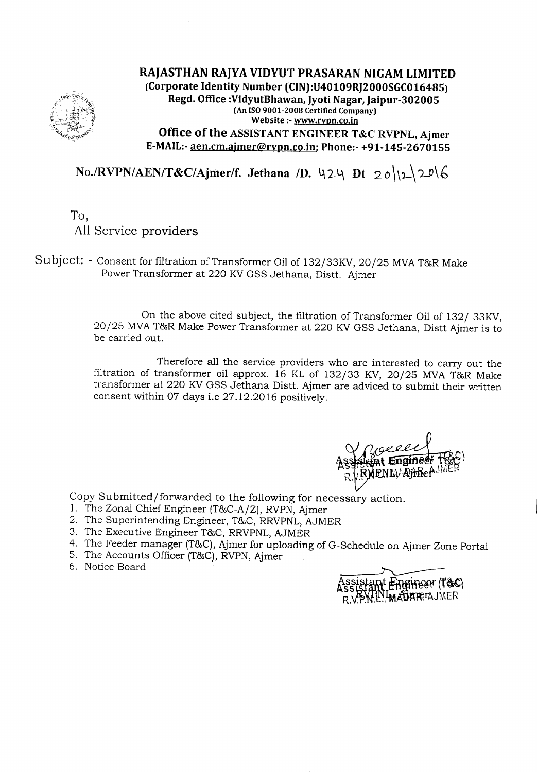

RAJASTHAN RAJYA VIDYUT PRASARAN NIGAM LIMITED (Corporate Identity Number (CIN):U40109RJ2000SGC016485) Regd. Office :VidyutBhawan, Jyoti Nagar, Jaipur-302005 (An ISO9001-2008 Certified Company) Website :- www.rvpn.co.in Office of the ASSISTANT ENGINEER T&C RVPNL, Ajmer

E-MAIL:-aen.cm.ajmer@rvpn.co.in; Phone:- +91-145-2670155

 $No. / RVPN/AEN/T & C/Ajmer/f.$  Jethana */D.* 424 Dt 20\l1\2<sup>0</sup>\6

To, All Service providers

Subject: - Consent for filtration of Transformer Oil of 132/33KV, 20/25 MVAT&R Make Power Transformer at 220 KV GSS Jethana, Distt. Ajmer

> On the above cited subject, the filtration of Transformer Oil of 132/ 33KV, 20/25 MVAT&R Make Power Transformer at 220 KVGSS Jethana, Distt Ajmer is to be carried out.

> Therefore all the service providers who are interested to carry out the filtration of transformer oil approx. 16 KL of 132/33 KV, 20/25 MVA T&R Make transformer at 220 KVGSS Jethana Distt. Ajmer are adviced to submit their written consent within 07 days i.e 27.12.2016 positively.

Copy Submitted/forwarded to the following for necessary action.

- 1. The Zonal Chief Engineer (T&C-A/Z), RVPN, Ajmer
- 2. The Superintending Engineer, T&C, RRVPNL, AJMER
- 3. The Executive Engineer *T&C,* RRVPNL,AJMER
- 4. The Feeder manager (T&C), Ajmer for uploading of G-Schedule on Ajmer Zone Portal
- 5. The Accounts Officer (T&C), RVPN, Ajmer
- 6. Notice Board

Assistant Engineer (T&C)